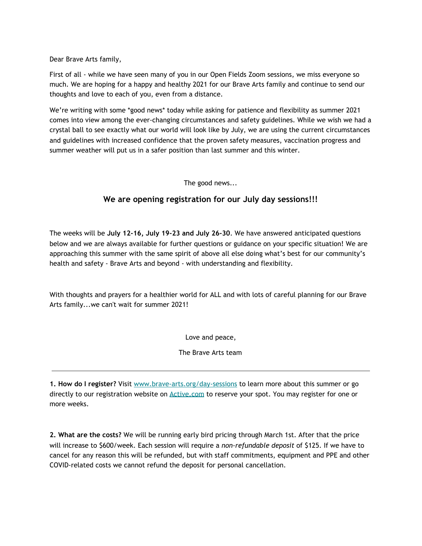Dear Brave Arts family,

First of all - while we have seen many of you in our Open Fields Zoom sessions, we miss everyone so much. We are hoping for a happy and healthy 2021 for our Brave Arts family and continue to send our thoughts and love to each of you, even from a distance.

We're writing with some \*good news\* today while asking for patience and flexibility as summer 2021 comes into view among the ever-changing circumstances and safety guidelines. While we wish we had a crystal ball to see exactly what our world will look like by July, we are using the current circumstances and guidelines with increased confidence that the proven safety measures, vaccination progress and summer weather will put us in a safer position than last summer and this winter.

The good news...

## **We are opening registration for our July day sessions!!!**

The weeks will be **July 12-16, July 19-23 and July 26-30**. We have answered anticipated questions below and we are always available for further questions or guidance on your specific situation! We are approaching this summer with the same spirit of above all else doing what's best for our community's health and safety - Brave Arts and beyond - with understanding and flexibility.

With thoughts and prayers for a healthier world for ALL and with lots of careful planning for our Brave Arts family...we can't wait for summer 2021!

Love and peace,

The Brave Arts team

**1. How do I register?** Visit [www.brave-arts.org/day-sessions](http://www.brave-arts.org/day-sessions) to learn more about this summer or go directly to our registration website on [Active.com](https://campscui.active.com/orgs/BraveArtsTheatreWorkshop?orglink=camps-registration) to reserve your spot. You may register for one or more weeks.

**2. What are the costs?** We will be running early bird pricing through March 1st. After that the price will increase to \$600/week. Each session will require a *non-refundable deposit* of \$125. If we have to cancel for any reason this will be refunded, but with staff commitments, equipment and PPE and other COVID-related costs we cannot refund the deposit for personal cancellation.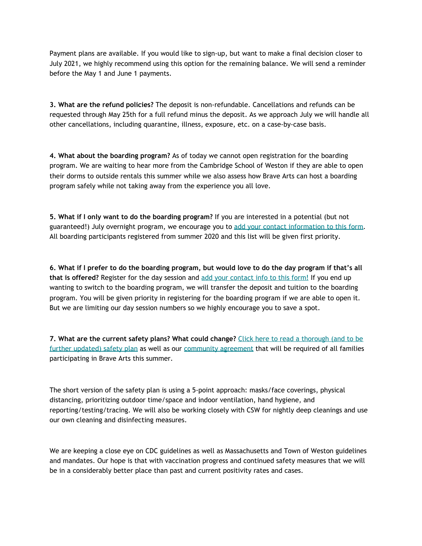Payment plans are available. If you would like to sign-up, but want to make a final decision closer to July 2021, we highly recommend using this option for the remaining balance. We will send a reminder before the May 1 and June 1 payments.

**3. What are the refund policies?** The deposit is non-refundable. Cancellations and refunds can be requested through May 25th for a full refund minus the deposit. As we approach July we will handle all other cancellations, including quarantine, illness, exposure, etc. on a case-by-case basis.

**4. What about the boarding program?** As of today we cannot open registration for the boarding program. We are waiting to hear more from the Cambridge School of Weston if they are able to open their dorms to outside rentals this summer while we also assess how Brave Arts can host a boarding program safely while not taking away from the experience you all love.

**5. What if I only want to do the boarding program?** If you are interested in a potential (but not guaranteed!) July overnight program, we encourage you to add your contact [information](https://forms.gle/1girVcHHd8t2kmnZA) to this form. All boarding participants registered from summer 2020 and this list will be given first priority.

6. What if I prefer to do the boarding program, but would love to do the day program if that's all **that is offered?** Register for the day session and add your [contact](https://forms.gle/1girVcHHd8t2kmnZA) info to this form! If you end up wanting to switch to the boarding program, we will transfer the deposit and tuition to the boarding program. You will be given priority in registering for the boarding program if we are able to open it. But we are limiting our day session numbers so we highly encourage you to save a spot.

**7. What are the current safety plans? What could change?** Click here to read a [thorough](https://12c9eecf-c4fa-ffac-8787-ca27182545b8.filesusr.com/ugd/564884_d89a62db5d8c452aaa5d340dd80dba76.pdf) (and to be further [updated\)](https://12c9eecf-c4fa-ffac-8787-ca27182545b8.filesusr.com/ugd/564884_d89a62db5d8c452aaa5d340dd80dba76.pdf) safety plan as well as our [community](https://12c9eecf-c4fa-ffac-8787-ca27182545b8.filesusr.com/ugd/564884_a255a9261dcd4014b73fd64feda21faa.pdf) agreement that will be required of all families participating in Brave Arts this summer.

The short version of the safety plan is using a 5-point approach: masks/face coverings, physical distancing, prioritizing outdoor time/space and indoor ventilation, hand hygiene, and reporting/testing/tracing. We will also be working closely with CSW for nightly deep cleanings and use our own cleaning and disinfecting measures.

We are keeping a close eye on CDC guidelines as well as Massachusetts and Town of Weston guidelines and mandates. Our hope is that with vaccination progress and continued safety measures that we will be in a considerably better place than past and current positivity rates and cases.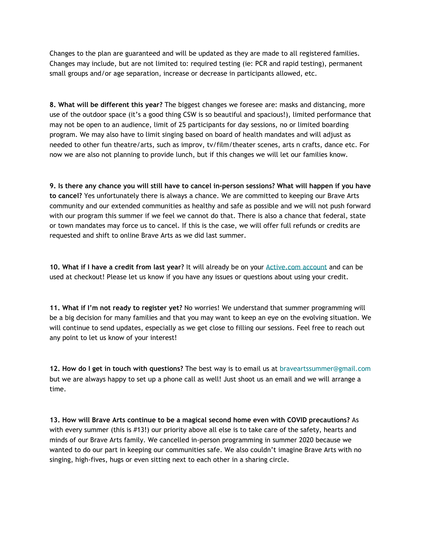Changes to the plan are guaranteed and will be updated as they are made to all registered families. Changes may include, but are not limited to: required testing (ie: PCR and rapid testing), permanent small groups and/or age separation, increase or decrease in participants allowed, etc.

**8. What will be different this year?** The biggest changes we foresee are: masks and distancing, more use of the outdoor space (it's a good thing CSW is so beautiful and spacious!), limited performance that may not be open to an audience, limit of 25 participants for day sessions, no or limited boarding program. We may also have to limit singing based on board of health mandates and will adjust as needed to other fun theatre/arts, such as improv, tv/film/theater scenes, arts n crafts, dance etc. For now we are also not planning to provide lunch, but if this changes we will let our families know.

9. Is there any chance you will still have to cancel in-person sessions? What will happen if you have **to cancel?** Yes unfortunately there is always a chance. We are committed to keeping our Brave Arts community and our extended communities as healthy and safe as possible and we will not push forward with our program this summer if we feel we cannot do that. There is also a chance that federal, state or town mandates may force us to cancel. If this is the case, we will offer full refunds or credits are requested and shift to online Brave Arts as we did last summer.

**10. What if I have a credit from last year?** It will already be on your [Active.com](https://campsself.active.com/braveartstheatreworkshop) account and can be used at checkout! Please let us know if you have any issues or questions about using your credit.

**11. What if I'm not ready to register yet?** No worries! We understand that summer programming will be a big decision for many families and that you may want to keep an eye on the evolving situation. We will continue to send updates, especially as we get close to filling our sessions. Feel free to reach out any point to let us know of your interest!

**12. How do I get in touch with questions?** The best way is to email us at braveartssummer@gmail.com but we are always happy to set up a phone call as well! Just shoot us an email and we will arrange a time.

**13. How will Brave Arts continue to be a magical second home even with COVID precautions?** As with every summer (this is #13!) our priority above all else is to take care of the safety, hearts and minds of our Brave Arts family. We cancelled in-person programming in summer 2020 because we wanted to do our part in keeping our communities safe. We also couldn't imagine Brave Arts with no singing, high-fives, hugs or even sitting next to each other in a sharing circle.